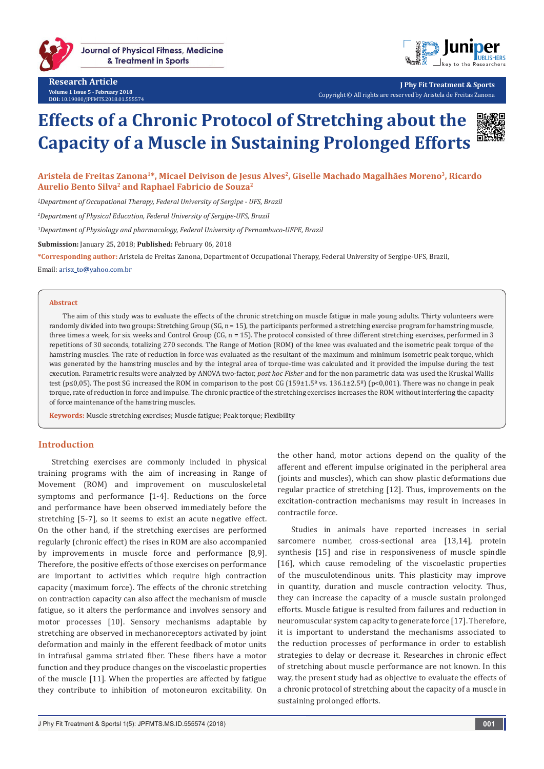

**Journal of Physical Fitness, Medicine** & Treatment in Sports



**J Phy Fit Treatment & Sports** Copyright © All rights are reserved by Aristela de Freitas Zanona

# **Effects of a Chronic Protocol of Stretching about the Capacity of a Muscle in Sustaining Prolonged Efforts**



**Aristela de Freitas Zanona1\*, Micael Deivison de Jesus Alves2, Giselle Machado Magalhães Moreno3, Ricardo Aurelio Bento Silva2 and Raphael Fabricio de Souza2**

*1 Department of Occupational Therapy, Federal University of Sergipe - UFS, Brazil*

*2 Department of Physical Education, Federal University of Sergipe-UFS, Brazil*

*3 Department of Physiology and pharmacology, Federal University of Pernambuco-UFPE, Brazil*

**Submission:** January 25, 2018; **Published:** February 06, 2018

**\*Corresponding author:** Aristela de Freitas Zanona, Department of Occupational Therapy, Federal University of Sergipe-UFS, Brazil,

Email: arisz to@yahoo.com.br

#### **Abstract**

The aim of this study was to evaluate the effects of the chronic stretching on muscle fatigue in male young adults. Thirty volunteers were randomly divided into two groups: Stretching Group (SG, n = 15), the participants performed a stretching exercise program for hamstring muscle, three times a week, for six weeks and Control Group (CG, n = 15). The protocol consisted of three different stretching exercises, performed in 3 repetitions of 30 seconds, totalizing 270 seconds. The Range of Motion (ROM) of the knee was evaluated and the isometric peak torque of the hamstring muscles. The rate of reduction in force was evaluated as the resultant of the maximum and minimum isometric peak torque, which was generated by the hamstring muscles and by the integral area of torque-time was calculated and it provided the impulse during the test execution. Parametric results were analyzed by ANOVA two-factor, *post hoc Fisher* and for the non parametric data was used the Kruskal Wallis test (p≤0,05). The post SG increased the ROM in comparison to the post CG (159±1.5º vs. 136.1±2.5º) (p<0,001). There was no change in peak torque, rate of reduction in force and impulse. The chronic practice of the stretching exercises increases the ROM without interfering the capacity of force maintenance of the hamstring muscles.

**Keywords:** Muscle stretching exercises; Muscle fatigue; Peak torque; Flexibility

## **Introduction**

Stretching exercises are commonly included in physical training programs with the aim of increasing in Range of Movement (ROM) and improvement on musculoskeletal symptoms and performance [1-4]. Reductions on the force and performance have been observed immediately before the stretching [5-7], so it seems to exist an acute negative effect. On the other hand, if the stretching exercises are performed regularly (chronic effect) the rises in ROM are also accompanied by improvements in muscle force and performance [8,9]. Therefore, the positive effects of those exercises on performance are important to activities which require high contraction capacity (maximum force). The effects of the chronic stretching on contraction capacity can also affect the mechanism of muscle fatigue, so it alters the performance and involves sensory and motor processes [10]. Sensory mechanisms adaptable by stretching are observed in mechanoreceptors activated by joint deformation and mainly in the efferent feedback of motor units in intrafusal gamma striated fiber. These fibers have a motor function and they produce changes on the viscoelastic properties of the muscle [11]. When the properties are affected by fatigue they contribute to inhibition of motoneuron excitability. On

the other hand, motor actions depend on the quality of the afferent and efferent impulse originated in the peripheral area (joints and muscles), which can show plastic deformations due regular practice of stretching [12]. Thus, improvements on the excitation-contraction mechanisms may result in increases in contractile force.

Studies in animals have reported increases in serial sarcomere number, cross-sectional area [13,14], protein synthesis [15] and rise in responsiveness of muscle spindle [16], which cause remodeling of the viscoelastic properties of the musculotendinous units. This plasticity may improve in quantity, duration and muscle contraction velocity. Thus, they can increase the capacity of a muscle sustain prolonged efforts. Muscle fatigue is resulted from failures and reduction in neuromuscular system capacity to generate force [17]. Therefore, it is important to understand the mechanisms associated to the reduction processes of performance in order to establish strategies to delay or decrease it. Researches in chronic effect of stretching about muscle performance are not known. In this way, the present study had as objective to evaluate the effects of a chronic protocol of stretching about the capacity of a muscle in sustaining prolonged efforts.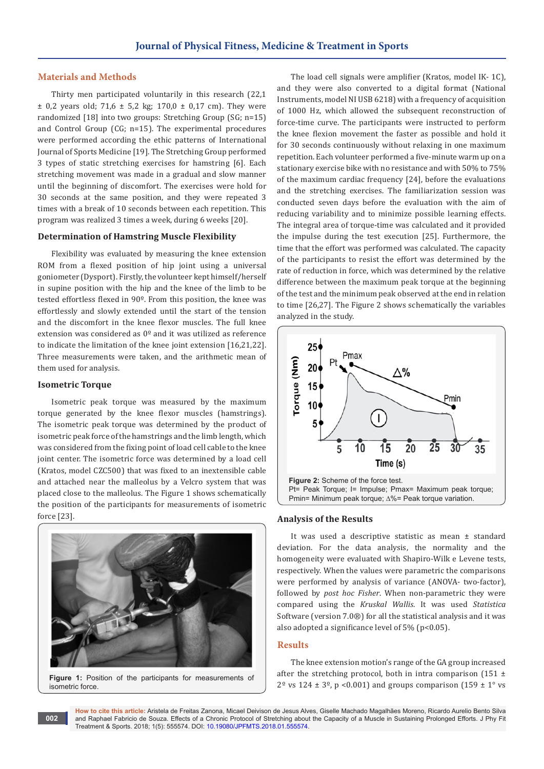# **Materials and Methods**

Thirty men participated voluntarily in this research (22,1  $\pm$  0,2 years old; 71,6  $\pm$  5,2 kg; 170,0  $\pm$  0,17 cm). They were randomized [18] into two groups: Stretching Group (SG; n=15) and Control Group (CG; n=15). The experimental procedures were performed according the ethic patterns of International Journal of Sports Medicine [19]. The Stretching Group performed 3 types of static stretching exercises for hamstring [6]. Each stretching movement was made in a gradual and slow manner until the beginning of discomfort. The exercises were hold for 30 seconds at the same position, and they were repeated 3 times with a break of 10 seconds between each repetition. This program was realized 3 times a week, during 6 weeks [20].

# **Determination of Hamstring Muscle Flexibility**

Flexibility was evaluated by measuring the knee extension ROM from a flexed position of hip joint using a universal goniometer (Dysport). Firstly, the volunteer kept himself/herself in supine position with the hip and the knee of the limb to be tested effortless flexed in 90º. From this position, the knee was effortlessly and slowly extended until the start of the tension and the discomfort in the knee flexor muscles. The full knee extension was considered as 0º and it was utilized as reference to indicate the limitation of the knee joint extension [16,21,22]. Three measurements were taken, and the arithmetic mean of them used for analysis.

# **Isometric Torque**

Isometric peak torque was measured by the maximum torque generated by the knee flexor muscles (hamstrings). The isometric peak torque was determined by the product of isometric peak force of the hamstrings and the limb length, which was considered from the fixing point of load cell cable to the knee joint center. The isometric force was determined by a load cell (Kratos, model CZC500) that was fixed to an inextensible cable and attached near the malleolus by a Velcro system that was placed close to the malleolus. The Figure 1 shows schematically the position of the participants for measurements of isometric force [23].



**Figure 1:** Position of the participants for measurements of isometric force.

The load cell signals were amplifier (Kratos, model IK- 1C), and they were also converted to a digital format (National Instruments, model NI USB 6218) with a frequency of acquisition of 1000 Hz, which allowed the subsequent reconstruction of force-time curve. The participants were instructed to perform the knee flexion movement the faster as possible and hold it for 30 seconds continuously without relaxing in one maximum repetition. Each volunteer performed a five-minute warm up on a stationary exercise bike with no resistance and with 50% to 75% of the maximum cardiac frequency [24], before the evaluations and the stretching exercises. The familiarization session was conducted seven days before the evaluation with the aim of reducing variability and to minimize possible learning effects. The integral area of torque-time was calculated and it provided the impulse during the test execution [25]. Furthermore, the time that the effort was performed was calculated. The capacity of the participants to resist the effort was determined by the rate of reduction in force, which was determined by the relative difference between the maximum peak torque at the beginning of the test and the minimum peak observed at the end in relation to time [26,27]. The Figure 2 shows schematically the variables analyzed in the study.



#### **Analysis of the Results**

It was used a descriptive statistic as mean ± standard deviation. For the data analysis, the normality and the homogeneity were evaluated with Shapiro-Wilk e Levene tests, respectively. When the values were parametric the comparisons were performed by analysis of variance (ANOVA- two-factor), followed by *post hoc Fisher*. When non-parametric they were compared using the *Kruskal Wallis*. It was used *Statistica* Software (version 7.0®) for all the statistical analysis and it was also adopted a significance level of  $5\%$  (p<0.05).

#### **Results**

The knee extension motion's range of the GA group increased after the stretching protocol, both in intra comparison (151  $\pm$  $2^{\circ}$  vs 124 ± 3<sup>°</sup>, p <0.001) and groups comparison (159 ± 1° vs

**How to cite this article:** Aristela de Freitas Zanona, Micael Deivison de Jesus Alves, Giselle Machado Magalhães Moreno, Ricardo Aurelio Bento Silva and Raphael Fabricio de Souza. Effects of a Chronic Protocol of Stretching about the Capacity of a Muscle in Sustaining Prolonged Efforts. J Phy Fit Treatment & Sports. 2018; 1(5): 555574. DOI: [10.19080/JPFMTS.2018.01.555574](http://dx.doi.org/10.19080/JPFMTS.2018.01.555574
).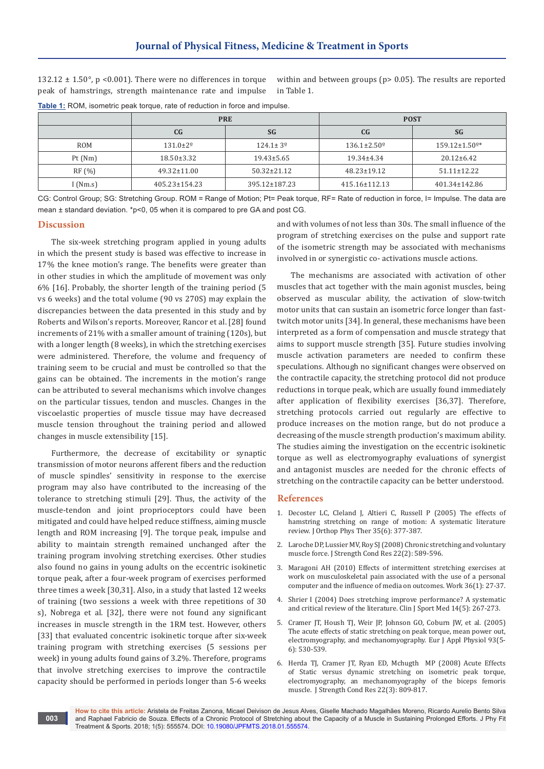132.12  $\pm$  1.50°, p <0.001). There were no differences in torque peak of hamstrings, strength maintenance rate and impulse

within and between groups (p> 0.05). The results are reported in Table 1.

|            | <b>PRE</b>                 |                       | <b>POST</b>                   |                                  |
|------------|----------------------------|-----------------------|-------------------------------|----------------------------------|
|            | C <sub>G</sub>             | <b>SG</b>             | C <sub>G</sub>                | <b>SG</b>                        |
| <b>ROM</b> | $131.0 \pm 2$ <sup>o</sup> | $124.1 \pm 3^{\circ}$ | $136.1 \pm 2.50$ <sup>o</sup> | $159.12 \pm 1.50$ <sup>o</sup> * |
| Pt (Nm)    | $18.50 \pm 3.32$           | $19.43 \pm 5.65$      | 19.34±4.34                    | $20.12 \pm 6.42$                 |
| RF (%)     | $49.32 \pm 11.00$          | $50.32 \pm 21.12$     | $48.23 \pm 19.12$             | $51.11 \pm 12.22$                |
| (Nm.s)     | $405.23 \pm 154.23$        | 395.12±187.23         | 415.16±112.13                 | 401.34±142.86                    |

**Table 1:** ROM, isometric peak torque, rate of reduction in force and impulse.

CG: Control Group; SG: Stretching Group. ROM = Range of Motion; Pt= Peak torque, RF= Rate of reduction in force, I= Impulse. The data are mean ± standard deviation. \*p<0, 05 when it is compared to pre GA and post CG.

## **Discussion**

**003**

The six-week stretching program applied in young adults in which the present study is based was effective to increase in 17% the knee motion's range. The benefits were greater than in other studies in which the amplitude of movement was only 6% [16]. Probably, the shorter length of the training period (5 vs 6 weeks) and the total volume (90 vs 270S) may explain the discrepancies between the data presented in this study and by Roberts and Wilson's reports. Moreover, Rancor et al. [28] found increments of 21% with a smaller amount of training (120s), but with a longer length (8 weeks), in which the stretching exercises were administered. Therefore, the volume and frequency of training seem to be crucial and must be controlled so that the gains can be obtained. The increments in the motion's range can be attributed to several mechanisms which involve changes on the particular tissues, tendon and muscles. Changes in the viscoelastic properties of muscle tissue may have decreased muscle tension throughout the training period and allowed changes in muscle extensibility [15].

Furthermore, the decrease of excitability or synaptic transmission of motor neurons afferent fibers and the reduction of muscle spindles' sensitivity in response to the exercise program may also have contributed to the increasing of the tolerance to stretching stimuli [29]. Thus, the activity of the muscle-tendon and joint proprioceptors could have been mitigated and could have helped reduce stiffness, aiming muscle length and ROM increasing [9]. The torque peak, impulse and ability to maintain strength remained unchanged after the training program involving stretching exercises. Other studies also found no gains in young adults on the eccentric isokinetic torque peak, after a four-week program of exercises performed three times a week [30,31]. Also, in a study that lasted 12 weeks of training (two sessions a week with three repetitions of 30 s), Nobrega et al. [32], there were not found any significant increases in muscle strength in the 1RM test. However, others [33] that evaluated concentric isokinetic torque after six-week training program with stretching exercises (5 sessions per week) in young adults found gains of 3.2%. Therefore, programs that involve stretching exercises to improve the contractile capacity should be performed in periods longer than 5-6 weeks

and with volumes of not less than 30s. The small influence of the program of stretching exercises on the pulse and support rate of the isometric strength may be associated with mechanisms involved in or synergistic co- activations muscle actions.

The mechanisms are associated with activation of other muscles that act together with the main agonist muscles, being observed as muscular ability, the activation of slow-twitch motor units that can sustain an isometric force longer than fasttwitch motor units [34]. In general, these mechanisms have been interpreted as a form of compensation and muscle strategy that aims to support muscle strength [35]. Future studies involving muscle activation parameters are needed to confirm these speculations. Although no significant changes were observed on the contractile capacity, the stretching protocol did not produce reductions in torque peak, which are usually found immediately after application of flexibility exercises [36,37]. Therefore, stretching protocols carried out regularly are effective to produce increases on the motion range, but do not produce a decreasing of the muscle strength production's maximum ability. The studies aiming the investigation on the eccentric isokinetic torque as well as electromyography evaluations of synergist and antagonist muscles are needed for the chronic effects of stretching on the contractile capacity can be better understood.

# **References**

- 1. [Decoster LC, Cleland J, Altieri C, Russell P \(2005\) The effects of](https://www.ncbi.nlm.nih.gov/pubmed/16001909)  [hamstring stretching on range of motion: A systematic literature](https://www.ncbi.nlm.nih.gov/pubmed/16001909)  [review. J Orthop Phys Ther 35\(6\): 377-387.](https://www.ncbi.nlm.nih.gov/pubmed/16001909)
- 2. [Laroche DP, Lussier MV, Roy SJ \(2008\) Chronic stretching and voluntary](https://www.ncbi.nlm.nih.gov/pubmed/18550978)  [muscle force. J Strength Cond Res 22\(2\): 589-596.](https://www.ncbi.nlm.nih.gov/pubmed/18550978)
- 3. [Maragoni AH \(2010\) Effects of intermittent stretching exercises at](https://www.ncbi.nlm.nih.gov/pubmed/20555173)  [work on musculoskeletal pain associated with the use of a personal](https://www.ncbi.nlm.nih.gov/pubmed/20555173)  [computer and the influence of media on outcomes. Work 36\(1\): 27-37.](https://www.ncbi.nlm.nih.gov/pubmed/20555173)
- 4. Shrier I (2004) [Does stretching improve performance? A systematic](https://www.ncbi.nlm.nih.gov/pubmed/15377965)  [and critical review of the literature.](https://www.ncbi.nlm.nih.gov/pubmed/15377965) Clin J Sport Med 14(5): 267-273.
- 5. [Cramer JT, Housh TJ, Weir JP, Johnson GO, Coburn JW, et al. \(2005\)](https://www.ncbi.nlm.nih.gov/pubmed/15599756)  [The acute effects of static stretching on peak torque, mean power out,](https://www.ncbi.nlm.nih.gov/pubmed/15599756)  [electromyography, and mechanomyography.](https://www.ncbi.nlm.nih.gov/pubmed/15599756) Eur J Appl Physiol 93(5- [6\): 530-539.](https://www.ncbi.nlm.nih.gov/pubmed/15599756)
- 6. [Herda TJ, Cramer JT, Ryan ED, Mchugth MP \(2008\) Acute Effects](https://www.ncbi.nlm.nih.gov/pubmed/18438236)  [of Static versus dynamic stretching on isometric peak torque,](https://www.ncbi.nlm.nih.gov/pubmed/18438236)  [electromyography, an mechanomyography of the biceps femoris](https://www.ncbi.nlm.nih.gov/pubmed/18438236)  [muscle. J Strength Cond Res 22\(3\): 809-817.](https://www.ncbi.nlm.nih.gov/pubmed/18438236)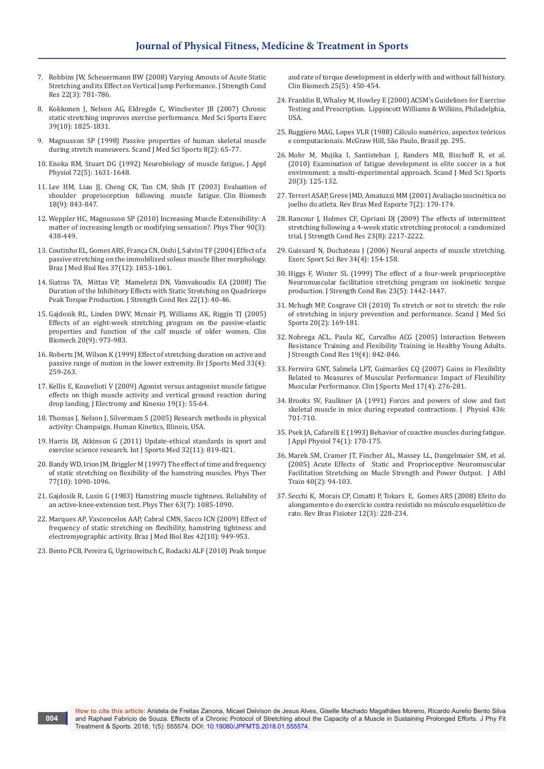- 7. [Robbins JW, Scheuermann BW \(2008\) Varying Amouts of Acute Static](https://www.ncbi.nlm.nih.gov/pubmed/18438240)  [Stretching and its Effect on Vertical Jump Performance. J Strength Cond](https://www.ncbi.nlm.nih.gov/pubmed/18438240)  [Res 22\(3\): 781-786.](https://www.ncbi.nlm.nih.gov/pubmed/18438240)
- 8. [Kokkonen J, Nelson AG, Eldregde C, Winchester JB \(2007\) Chronic](https://www.ncbi.nlm.nih.gov/pubmed/17909411)  [static stretching improves exercise performance. Med Sci Sports Exerc](https://www.ncbi.nlm.nih.gov/pubmed/17909411)  [39\(10\): 1825-1831.](https://www.ncbi.nlm.nih.gov/pubmed/17909411)
- 9. [Magnusson SP \(1998\) Passive properties of human skeletal muscle](https://www.ncbi.nlm.nih.gov/pubmed/9564710)  during stretch maneuvers. [Scand J Med Sci Sports 8\(2\): 65-77.](https://www.ncbi.nlm.nih.gov/pubmed/9564710)
- 10. [Enoka RM, Stuart DG \(1992\) Neurobiology of muscle fatigue](https://www.ncbi.nlm.nih.gov/pubmed/1601767)**.** J Appl [Physiol 72\(5\): 1631-1648.](https://www.ncbi.nlm.nih.gov/pubmed/1601767)
- 11. [Lee HM, Liau JJ, Cheng CK, Tan CM, Shih JT \(2003\) Evaluation of](https://www.ncbi.nlm.nih.gov/pubmed/14527811)  [shoulder proprioception following muscle fatigue. Clin Biomech](https://www.ncbi.nlm.nih.gov/pubmed/14527811)  [18\(9\): 843-847.](https://www.ncbi.nlm.nih.gov/pubmed/14527811)
- 12. [Weppler HC, Magnusson SP \(2010\) Increasing Muscle Extensibility: A](https://www.ncbi.nlm.nih.gov/pubmed/20075147)  [matter of increasing length or modifying sensation?. Phys Ther 90\(3\):](https://www.ncbi.nlm.nih.gov/pubmed/20075147)  [438-449.](https://www.ncbi.nlm.nih.gov/pubmed/20075147)
- 13. [Coutinho EL, Gomes ARS, França CN, Oishi J, Salvini TF \(2004\) Effect of a](https://www.ncbi.nlm.nih.gov/pubmed/15558192)  [passive stretching on the immobilized soleus muscle fiber morphology.](https://www.ncbi.nlm.nih.gov/pubmed/15558192)  [Braz J Med Biol Res 37\(12\): 1853-1861.](https://www.ncbi.nlm.nih.gov/pubmed/15558192)
- 14. [Siatras TA, Mittas VP, Mameletzi DN, Vamvakoudis EA \(2008\) The](https://www.ncbi.nlm.nih.gov/pubmed/18296954)  [Duration of the Inhibitory Effects with Static Stretching on Quadriceps](https://www.ncbi.nlm.nih.gov/pubmed/18296954)  [Peak Torque Production. J Strength Cond Res 22\(1\): 40-46.](https://www.ncbi.nlm.nih.gov/pubmed/18296954)
- 15. [Gajdosik RL, Linden DWV, Mcnair PJ, Williams AK, Riggin TJ \(2005\)](https://www.ncbi.nlm.nih.gov/pubmed/16054737)  [Effects of an eight-week stretching program on the passive-elastic](https://www.ncbi.nlm.nih.gov/pubmed/16054737)  [properties and function of the calf muscle of older women. Clin](https://www.ncbi.nlm.nih.gov/pubmed/16054737)  [Biomech 20\(9\): 973-983.](https://www.ncbi.nlm.nih.gov/pubmed/16054737)
- 16. [Roberts JM, Wilson K \(1999\) Effect of stretching duration on active and](http://bjsm.bmj.com/content/33/4/259)  [passive range of motion in the lower extremity. Br J Sports Med 33\(4\):](http://bjsm.bmj.com/content/33/4/259)  [259-263.](http://bjsm.bmj.com/content/33/4/259)
- 17. [Kellis E, Kouvelioti V \(2009\) Agonist versus antagonist muscle fatigue](https://www.ncbi.nlm.nih.gov/pubmed/17888681)  [effects on thigh muscle activity and vertical ground reaction during](https://www.ncbi.nlm.nih.gov/pubmed/17888681)  drop landing. [J Electromy and Kinesio 19\(1\): 55-64.](https://www.ncbi.nlm.nih.gov/pubmed/17888681)
- 18. Thomas J, Nelson J, Silvermam S (2005) Research methods in physical activity: Champaign. Human Kinetics, Illinois, USA.
- 19. [Harris DJ, Atkinson G \(2011\) Update-ethical standards in sport and](https://www.ncbi.nlm.nih.gov/pubmed/22065312)  [exercise science research. Int J Sports Med 32\(11\): 819-821.](https://www.ncbi.nlm.nih.gov/pubmed/22065312)
- 20. [Bandy WD, Irion JM, Briggler M \(1997\) The effect of time and frequency](https://www.ncbi.nlm.nih.gov/pubmed/9327823)  [of static stretching on flexibility of the hamstring muscles. Phys Ther](https://www.ncbi.nlm.nih.gov/pubmed/9327823)  [77\(10\): 1090-1096.](https://www.ncbi.nlm.nih.gov/pubmed/9327823)
- 21. [Gajdosik R, Lusin G \(1983\) Hamstring muscle tightness. Reliability of](https://www.ncbi.nlm.nih.gov/pubmed/6867117)  [an active-knee-extension test. Phys Ther 63\(7\): 1085-1090.](https://www.ncbi.nlm.nih.gov/pubmed/6867117)
- 22. [Marques AP, Vasconcelos AAP, Cabral CMN, Sacco ICN \(2009\) Effect of](https://www.ncbi.nlm.nih.gov/pubmed/19784479)  [frequency of static stretching on flexibility, hamstring tightness and](https://www.ncbi.nlm.nih.gov/pubmed/19784479)  [electromyographic activity. Braz J Med Biol Res 42\(10\): 949-953.](https://www.ncbi.nlm.nih.gov/pubmed/19784479)
- 23. [Bento PCB, Pereira G, Ugrinowitsch C, Rodacki ALF \(2010\) Peak torque](https://www.ncbi.nlm.nih.gov/pubmed/20350773)

**004**

and rate of torque development in elderly with and without fall history. [Clin Biomech 25\(5\): 450-454.](https://www.ncbi.nlm.nih.gov/pubmed/20350773)

- 24. Franklin B, Whaley M, Howley E (2000) ACSM's Guidelines for Exercise Testing and Prescription. Lippincott Williams & Wilkins, Philadelphia, USA.
- 25. [Ruggiero MAG, Lopes VLR \(1988\) Cálculo numérico, aspectos teóricos](https://www.saraiva.com.br/calculo-numerico-aspectos-teoricos-e-computacionais-344323.html)  [e computacionais. McGraw Hill, São Paulo, Brazil pp. 295.](https://www.saraiva.com.br/calculo-numerico-aspectos-teoricos-e-computacionais-344323.html)
- 26. [Mohr M, Mujika I, Santisteban J, Randers MB, Bischoff R, et al.](https://www.ncbi.nlm.nih.gov/pubmed/21029199)  [\(2010\) Examination of fatigue development in elite soccer in a hot](https://www.ncbi.nlm.nih.gov/pubmed/21029199)  [environment: a multi-experimental approach. Scand J Med Sci Sports](https://www.ncbi.nlm.nih.gov/pubmed/21029199)  [20\(3\): 125-132.](https://www.ncbi.nlm.nih.gov/pubmed/21029199)
- 27. [Terreri ASAP, Greve JMD, Amatuzzi MM \(2001\) Avaliação isocinética no](http://www.scielo.br/scielo.php?pid=S1517-86922001000200004&script=sci_abstract&tlng=pt)  joelho do atleta. [Rev Bras Med Esporte 7\(2\): 170-174.](http://www.scielo.br/scielo.php?pid=S1517-86922001000200004&script=sci_abstract&tlng=pt)
- 28. [Rancour J, Holmes CF, Cipriani DJ \(2009\)](https://www.ncbi.nlm.nih.gov/pubmed/19826305) The effects of intermittent [stretching following a 4-week static stretching protocol: a randomized](https://www.ncbi.nlm.nih.gov/pubmed/19826305)  trial. [J Strength Cond Res 23\(8\): 2217-2222.](https://www.ncbi.nlm.nih.gov/pubmed/19826305)
- 29. [Guissard N, Duchateau J \(2006\) Neural aspects of muscle stretching.](https://www.ncbi.nlm.nih.gov/pubmed/17031252)  [Exerc Sport Sci Rev 34\(4\): 154-158.](https://www.ncbi.nlm.nih.gov/pubmed/17031252)
- 30. [Higgs F, Winter SL \(1999\) The effect of a four-week proprioceptive](https://www.ncbi.nlm.nih.gov/pubmed/19620921)  [Neuromuscular facilitation stretching program on isokinetic torque](https://www.ncbi.nlm.nih.gov/pubmed/19620921)  [production. J Strength Cond Res 23\(5\): 1442-1447.](https://www.ncbi.nlm.nih.gov/pubmed/19620921)
- 31. [Mchugh MP, Cosgrave CH \(2010\) To stretch or not to stretch: the role](https://www.ncbi.nlm.nih.gov/pubmed/20030776)  [of stretching in injury prevention and performance.](https://www.ncbi.nlm.nih.gov/pubmed/20030776) Scand J Med Sci [Sports 20\(2\): 169-181.](https://www.ncbi.nlm.nih.gov/pubmed/20030776)
- 32. [Nobrega ACL, Paula KC, Carvalho ACG \(2005\) Interaction Between](https://www.ncbi.nlm.nih.gov/pubmed/16331866)  [Resistance Training and Flexibility Training in Healthy Young Adults.](https://www.ncbi.nlm.nih.gov/pubmed/16331866)  [J Strength Cond Res 19\(4\): 842-846.](https://www.ncbi.nlm.nih.gov/pubmed/16331866)
- 33. [Ferreira GNT, Salmela LFT, Guimarães CQ \(2007\) Gains in Flexibility](https://www.ncbi.nlm.nih.gov/pubmed/17620781)  [Related to Measures of Muscular Performance: Impact of Flexibility](https://www.ncbi.nlm.nih.gov/pubmed/17620781)  [Muscular Performance. Clin J Sports Med 17\(4\): 276-281.](https://www.ncbi.nlm.nih.gov/pubmed/17620781)
- 34. [Brooks SV, Faulkner JA \(1991\) Forces and powers of slow and fast](https://www.ncbi.nlm.nih.gov/pmc/articles/PMC1181529/)  [skeletal muscle in mice during repeated contractions. J Physiol 436:](https://www.ncbi.nlm.nih.gov/pmc/articles/PMC1181529/)  [701-710.](https://www.ncbi.nlm.nih.gov/pmc/articles/PMC1181529/)
- 35. [Psek JA, Cafarelli E \(1993\) Behavior of coactive muscles during fatigue.](https://www.ncbi.nlm.nih.gov/pubmed/8444689)  [J Appl Physiol 74\(1\): 170-175.](https://www.ncbi.nlm.nih.gov/pubmed/8444689)
- 36. [Marek SM, Cramer JT, Fincher AL, Massey LL, Dangelmaier SM, et al.](https://www.ncbi.nlm.nih.gov/pmc/articles/PMC1150232/)  [\(2005\) Acute Effects of Static and Proprioceptive Neuromuscular](https://www.ncbi.nlm.nih.gov/pmc/articles/PMC1150232/)  [Facilitation Stretching on Mucle Strength and Power Output. J Athl](https://www.ncbi.nlm.nih.gov/pmc/articles/PMC1150232/)  [Train 40\(2\): 94-103.](https://www.ncbi.nlm.nih.gov/pmc/articles/PMC1150232/)
- 37. [Secchi K, Morais CP, Cimatti P, Tokars E, Gomes ARS \(2008\) Efeito do](http://www.scielo.br/scielo.php?pid=S1413-35552008000300011&script=sci_abstract&tlng=pt)  [alongamento e do exercício contra resistido no músculo esquelético de](http://www.scielo.br/scielo.php?pid=S1413-35552008000300011&script=sci_abstract&tlng=pt)  rato. [Rev Bras Fisioter 12\(3\): 228-234.](http://www.scielo.br/scielo.php?pid=S1413-35552008000300011&script=sci_abstract&tlng=pt)